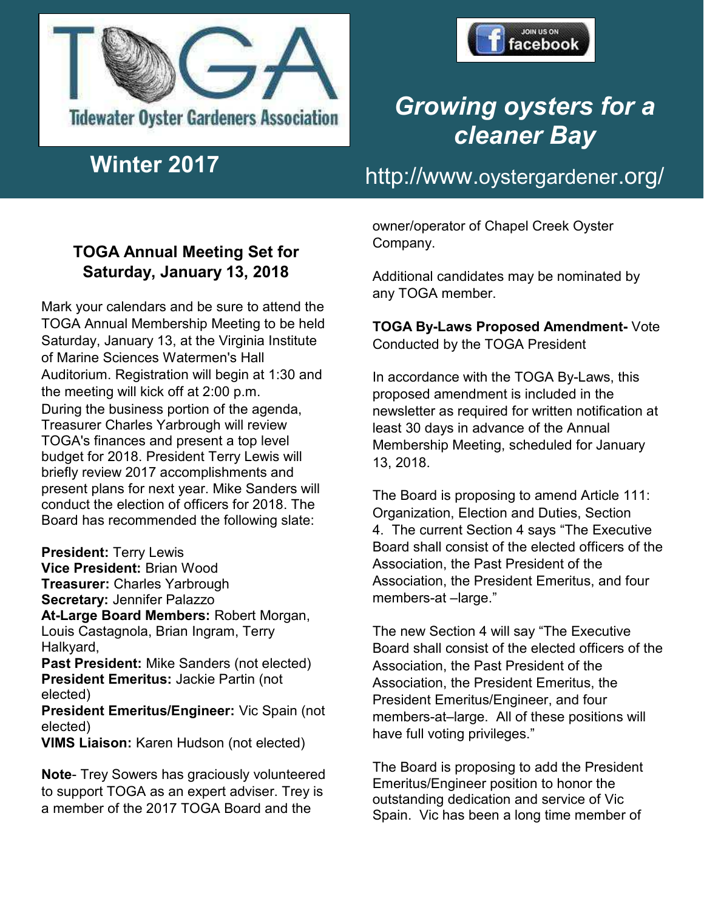



# *Growing oysters for a cleaner Bay*

# http://www.oystergardener.org/ **Winter 2017**

#### **TOGA Annual Meeting Set for Saturday, January 13, 2018**

Mark your calendars and be sure to attend the TOGA Annual Membership Meeting to be held Saturday, January 13, at the Virginia Institute of Marine Sciences Watermen's Hall Auditorium. Registration will begin at 1:30 and the meeting will kick off at 2:00 p.m. During the business portion of the agenda, Treasurer Charles Yarbrough will review TOGA's finances and present a top level budget for 2018. President Terry Lewis will briefly review 2017 accomplishments and present plans for next year. Mike Sanders will conduct the election of officers for 2018. The Board has recommended the following slate:

**President:** Terry Lewis

**Vice President:** Brian Wood **Treasurer:** Charles Yarbrough **Secretary:** Jennifer Palazzo

**At-Large Board Members:** Robert Morgan, Louis Castagnola, Brian Ingram, Terry Halkyard,

**Past President:** Mike Sanders (not elected) **President Emeritus:** Jackie Partin (not elected)

**President Emeritus/Engineer:** Vic Spain (not elected)

**VIMS Liaison:** Karen Hudson (not elected)

**Note**- Trey Sowers has graciously volunteered to support TOGA as an expert adviser. Trey is a member of the 2017 TOGA Board and the

owner/operator of Chapel Creek Oyster Company.

Additional candidates may be nominated by any TOGA member.

**TOGA By-Laws Proposed Amendment-** Vote Conducted by the TOGA President

In accordance with the TOGA By-Laws, this proposed amendment is included in the newsletter as required for written notification at least 30 days in advance of the Annual Membership Meeting, scheduled for January 13, 2018.

The Board is proposing to amend Article 111: Organization, Election and Duties, Section 4. The current Section 4 says "The Executive Board shall consist of the elected officers of the Association, the Past President of the Association, the President Emeritus, and four members-at –large."

The new Section 4 will say "The Executive Board shall consist of the elected officers of the Association, the Past President of the Association, the President Emeritus, the President Emeritus/Engineer, and four members-at–large. All of these positions will have full voting privileges."

The Board is proposing to add the President Emeritus/Engineer position to honor the outstanding dedication and service of Vic Spain. Vic has been a long time member of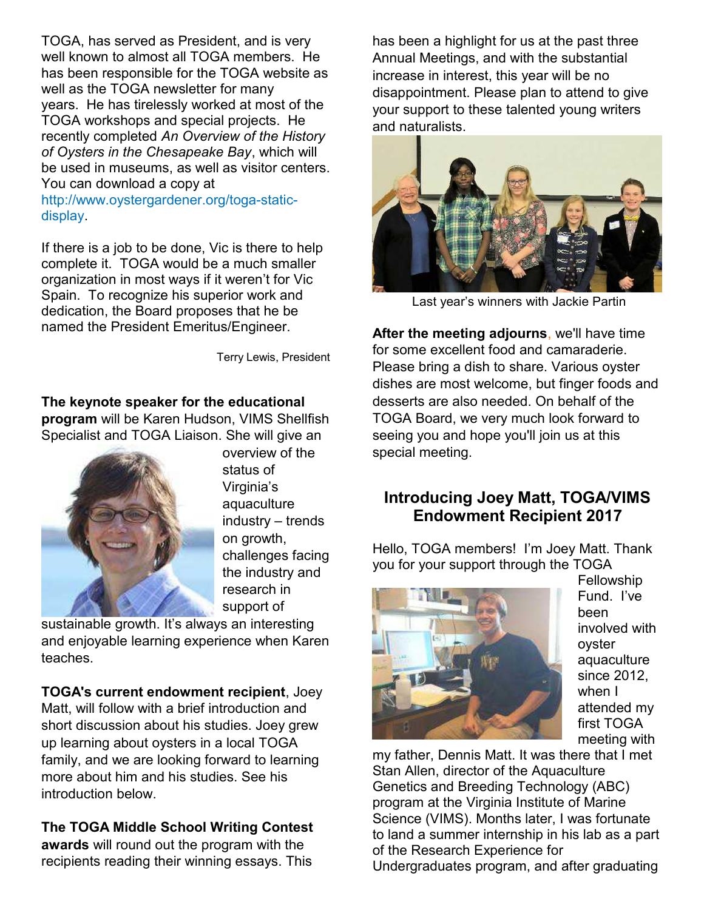TOGA, has served as President, and is very well known to almost all TOGA members. He has been responsible for the TOGA website as well as the TOGA newsletter for many years. He has tirelessly worked at most of the TOGA workshops and special projects. He recently completed *An Overview of the History of Oysters in the Chesapeake Bay*, which will be used in museums, as well as visitor centers. You can download a copy at

#### http://www.oystergardener.org/toga-staticdisplay.

If there is a job to be done, Vic is there to help complete it. TOGA would be a much smaller organization in most ways if it weren't for Vic Spain. To recognize his superior work and dedication, the Board proposes that he be named the President Emeritus/Engineer.

Terry Lewis, President

**The keynote speaker for the educational program** will be Karen Hudson, VIMS Shellfish Specialist and TOGA Liaison. She will give an



overview of the status of Virginia's aquaculture industry – trends on growth, challenges facing the industry and research in support of

sustainable growth. It's always an interesting and enjoyable learning experience when Karen teaches.

**TOGA's current endowment recipient**, Joey Matt, will follow with a brief introduction and short discussion about his studies. Joey grew up learning about oysters in a local TOGA family, and we are looking forward to learning more about him and his studies. See his introduction below.

**The TOGA Middle School Writing Contest awards** will round out the program with the recipients reading their winning essays. This

has been a highlight for us at the past three Annual Meetings, and with the substantial increase in interest, this year will be no disappointment. Please plan to attend to give your support to these talented young writers and naturalists.



Last year's winners with Jackie Partin

**After the meeting adjourns**, we'll have time for some excellent food and camaraderie. Please bring a dish to share. Various oyster dishes are most welcome, but finger foods and desserts are also needed. On behalf of the TOGA Board, we very much look forward to seeing you and hope you'll join us at this special meeting.

#### **Introducing Joey Matt, TOGA/VIMS Endowment Recipient 2017**

Hello, TOGA members! I'm Joey Matt. Thank you for your support through the TOGA



Fellowship Fund. I've been involved with oyster aquaculture since 2012, when I attended my first TOGA meeting with

my father, Dennis Matt. It was there that I met Stan Allen, director of the Aquaculture Genetics and Breeding Technology (ABC) program at the Virginia Institute of Marine Science (VIMS). Months later, I was fortunate to land a summer internship in his lab as a part of the Research Experience for Undergraduates program, and after graduating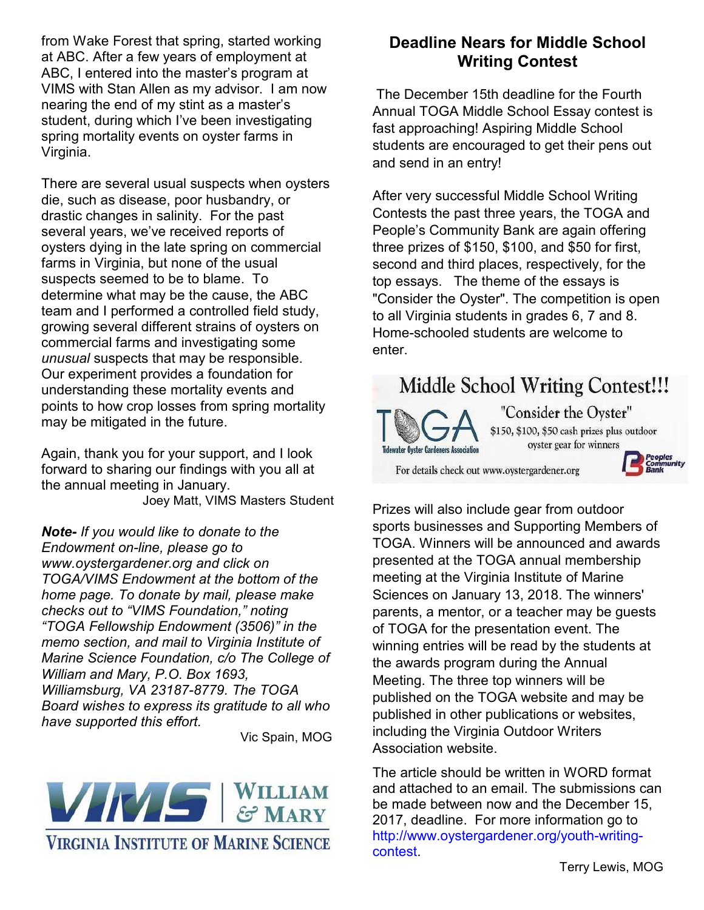from Wake Forest that spring, started working at ABC. After a few years of employment at ABC, I entered into the master's program at VIMS with Stan Allen as my advisor. I am now nearing the end of my stint as a master's student, during which I've been investigating spring mortality events on oyster farms in Virginia.

There are several usual suspects when oysters die, such as disease, poor husbandry, or drastic changes in salinity. For the past several years, we've received reports of oysters dying in the late spring on commercial farms in Virginia, but none of the usual suspects seemed to be to blame. To determine what may be the cause, the ABC team and I performed a controlled field study, growing several different strains of oysters on commercial farms and investigating some *unusual* suspects that may be responsible. Our experiment provides a foundation for understanding these mortality events and points to how crop losses from spring mortality may be mitigated in the future.

Again, thank you for your support, and I look forward to sharing our findings with you all at the annual meeting in January. Joey Matt, VIMS Masters Student

*Note- If you would like to donate to the Endowment on-line, please go to www.oystergardener.org and click on TOGA/VIMS Endowment at the bottom of the home page. To donate by mail, please make checks out to "VIMS Foundation," noting "TOGA Fellowship Endowment (3506)" in the memo section, and mail to Virginia Institute of Marine Science Foundation, c/o The College of William and Mary, P.O. Box 1693, Williamsburg, VA 23187-8779. The TOGA Board wishes to express its gratitude to all who have supported this effort.* 

Vic Spain, MOG



#### **Deadline Nears for Middle School Writing Contest**

The December 15th deadline for the Fourth Annual TOGA Middle School Essay contest is fast approaching! Aspiring Middle School students are encouraged to get their pens out and send in an entry!

After very successful Middle School Writing Contests the past three years, the TOGA and People's Community Bank are again offering three prizes of \$150, \$100, and \$50 for first, second and third places, respectively, for the top essays. The theme of the essays is "Consider the Oyster". The competition is open to all Virginia students in grades 6, 7 and 8. Home-schooled students are welcome to enter.

### **Middle School Writing Contest!!!**



"Consider the Oyster" \$150, \$100, \$50 cash prizes plus outdoor oyster gear for winners

For details check out www.oystergardener.org



Prizes will also include gear from outdoor sports businesses and Supporting Members of TOGA. Winners will be announced and awards presented at the TOGA annual membership meeting at the Virginia Institute of Marine Sciences on January 13, 2018. The winners' parents, a mentor, or a teacher may be guests of TOGA for the presentation event. The winning entries will be read by the students at the awards program during the Annual Meeting. The three top winners will be published on the TOGA website and may be published in other publications or websites, including the Virginia Outdoor Writers Association website.

The article should be written in WORD format and attached to an email. The submissions can be made between now and the December 15, 2017, deadline. For more information go to http://www.oystergardener.org/youth-writingcontest.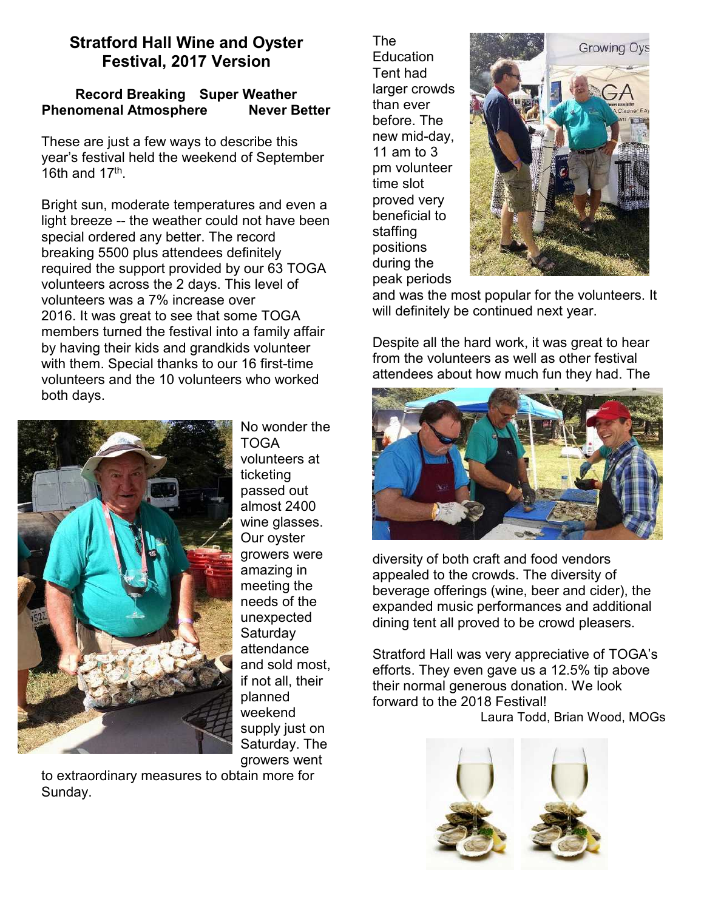#### **Stratford Hall Wine and Oyster Festival, 2017 Version**

#### **Record Breaking Super Weather Phenomenal Atmosphere Mever Better**

These are just a few ways to describe this year's festival held the weekend of September 16th and  $17<sup>th</sup>$ .

Bright sun, moderate temperatures and even a light breeze -- the weather could not have been special ordered any better. The record breaking 5500 plus attendees definitely required the support provided by our 63 TOGA volunteers across the 2 days. This level of volunteers was a 7% increase over 2016. It was great to see that some TOGA members turned the festival into a family affair by having their kids and grandkids volunteer with them. Special thanks to our 16 first-time volunteers and the 10 volunteers who worked both days.



No wonder the TOGA volunteers at ticketing passed out almost 2400 wine glasses. Our oyster growers were amazing in meeting the needs of the unexpected **Saturday** attendance and sold most, if not all, their planned weekend supply just on Saturday. The growers went

to extraordinary measures to obtain more for Sunday.

The **Education** Tent had larger crowds than ever before. The new mid-day, 11 am to 3 pm volunteer time slot proved very beneficial to staffing positions during the peak periods



and was the most popular for the volunteers. It will definitely be continued next year.

Despite all the hard work, it was great to hear from the volunteers as well as other festival attendees about how much fun they had. The



diversity of both craft and food vendors appealed to the crowds. The diversity of beverage offerings (wine, beer and cider), the expanded music performances and additional dining tent all proved to be crowd pleasers.

Stratford Hall was very appreciative of TOGA's efforts. They even gave us a 12.5% tip above their normal generous donation. We look forward to the 2018 Festival! Laura Todd, Brian Wood, MOGs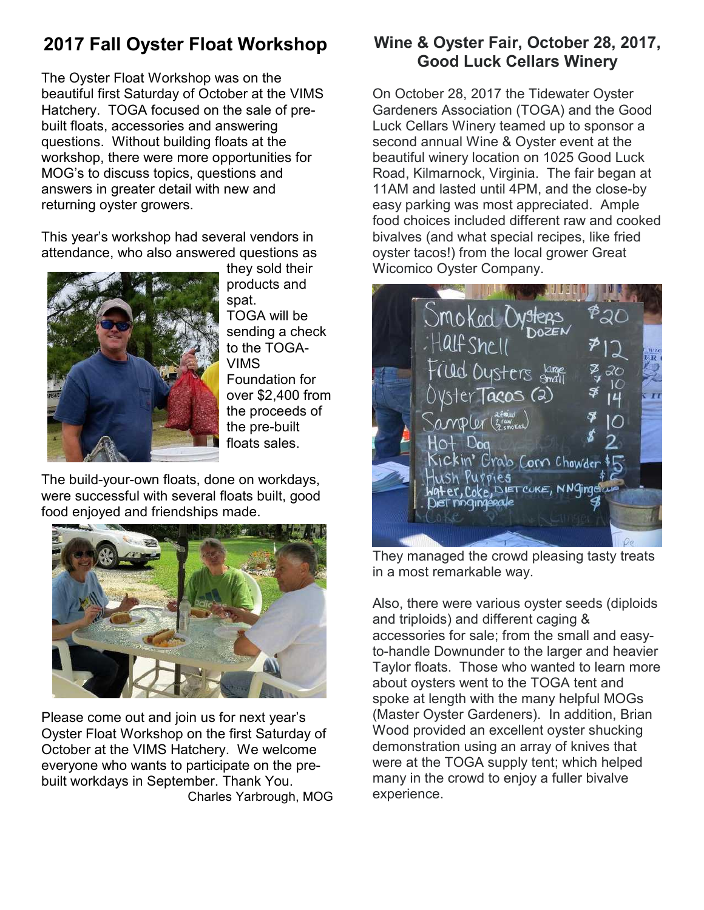# **2017 Fall Oyster Float Workshop**

The Oyster Float Workshop was on the beautiful first Saturday of October at the VIMS Hatchery. TOGA focused on the sale of prebuilt floats, accessories and answering questions. Without building floats at the workshop, there were more opportunities for MOG's to discuss topics, questions and answers in greater detail with new and returning oyster growers.

This year's workshop had several vendors in attendance, who also answered questions as



they sold their products and spat. TOGA will be sending a check to the TOGA-VIMS Foundation for over \$2,400 from the proceeds of the pre-built floats sales.

The build-your-own floats, done on workdays, were successful with several floats built, good food enjoyed and friendships made.



Please come out and join us for next year's Oyster Float Workshop on the first Saturday of October at the VIMS Hatchery. We welcome everyone who wants to participate on the prebuilt workdays in September. Thank You. Charles Yarbrough, MOG

#### **Wine & Oyster Fair, October 28, 2017, Good Luck Cellars Winery**

On October 28, 2017 the Tidewater Oyster Gardeners Association (TOGA) and the Good Luck Cellars Winery teamed up to sponsor a second annual Wine & Oyster event at the beautiful winery location on 1025 Good Luck Road, Kilmarnock, Virginia. The fair began at 11AM and lasted until 4PM, and the close-by easy parking was most appreciated. Ample food choices included different raw and cooked bivalves (and what special recipes, like fried oyster tacos!) from the local grower Great Wicomico Oyster Company.



They managed the crowd pleasing tasty treats in a most remarkable way.

Also, there were various oyster seeds (diploids and triploids) and different caging & accessories for sale; from the small and easyto-handle Downunder to the larger and heavier Taylor floats. Those who wanted to learn more about oysters went to the TOGA tent and spoke at length with the many helpful MOGs (Master Oyster Gardeners). In addition, Brian Wood provided an excellent oyster shucking demonstration using an array of knives that were at the TOGA supply tent; which helped many in the crowd to enjoy a fuller bivalve experience.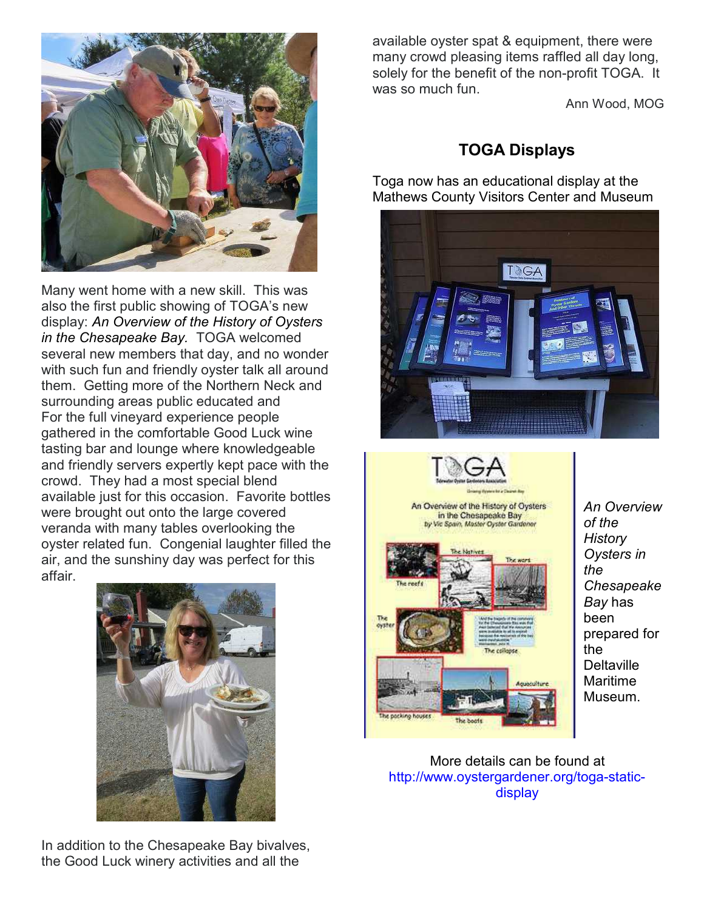

Many went home with a new skill. This was also the first public showing of TOGA's new display: *An Overview of the History of Oysters in the Chesapeake Bay.* TOGA welcomed several new members that day, and no wonder with such fun and friendly oyster talk all around them. Getting more of the Northern Neck and surrounding areas public educated and For the full vineyard experience people gathered in the comfortable Good Luck wine tasting bar and lounge where knowledgeable and friendly servers expertly kept pace with the crowd. They had a most special blend available just for this occasion. Favorite bottles were brought out onto the large covered veranda with many tables overlooking the oyster related fun. Congenial laughter filled the air, and the sunshiny day was perfect for this affair.



In addition to the Chesapeake Bay bivalves, the Good Luck winery activities and all the

available oyster spat & equipment, there were many crowd pleasing items raffled all day long, solely for the benefit of the non-profit TOGA. It was so much fun.

Ann Wood, MOG

#### **TOGA Displays**

Toga now has an educational display at the Mathews County Visitors Center and Museum





*An Overview of the History Oysters in the Chesapeake Bay* has been prepared for the **Deltaville** Maritime Museum.

More details can be found at http://www.oystergardener.org/toga-staticdisplay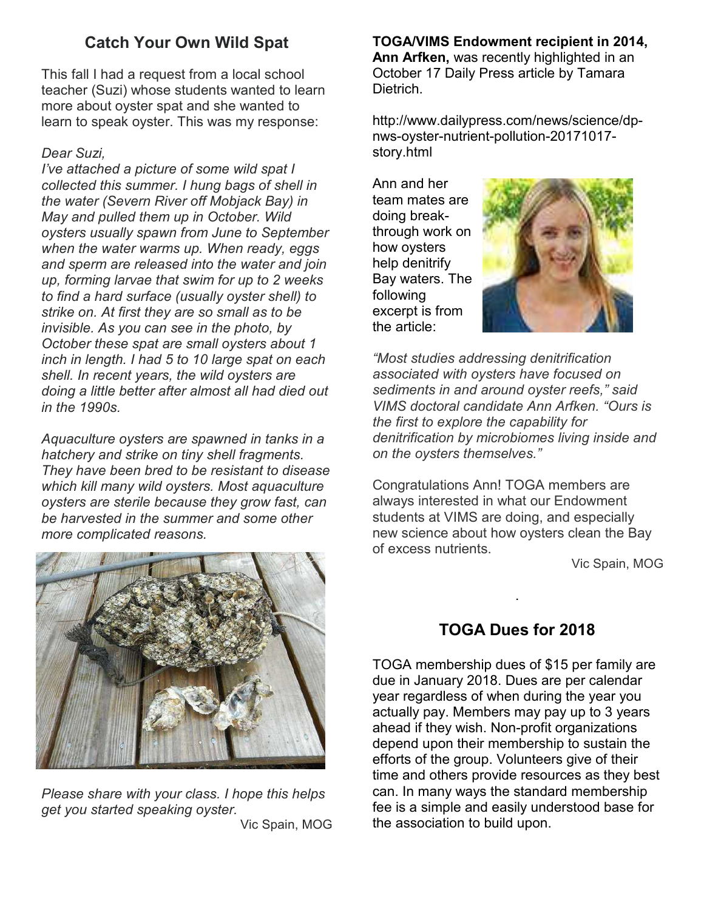#### **Catch Your Own Wild Spat**

This fall I had a request from a local school teacher (Suzi) whose students wanted to learn more about oyster spat and she wanted to learn to speak oyster. This was my response:

#### *Dear Suzi,*

*I've attached a picture of some wild spat I collected this summer. I hung bags of shell in the water (Severn River off Mobjack Bay) in May and pulled them up in October. Wild oysters usually spawn from June to September when the water warms up. When ready, eggs and sperm are released into the water and join up, forming larvae that swim for up to 2 weeks to find a hard surface (usually oyster shell) to strike on. At first they are so small as to be invisible. As you can see in the photo, by October these spat are small oysters about 1 inch in length. I had 5 to 10 large spat on each shell. In recent years, the wild oysters are doing a little better after almost all had died out in the 1990s.* 

*Aquaculture oysters are spawned in tanks in a hatchery and strike on tiny shell fragments. They have been bred to be resistant to disease which kill many wild oysters. Most aquaculture oysters are sterile because they grow fast, can be harvested in the summer and some other more complicated reasons.* 



*Please share with your class. I hope this helps get you started speaking oyster.*  Vic Spain, MOG **TOGA/VIMS Endowment recipient in 2014, Ann Arfken,** was recently highlighted in an October 17 Daily Press article by Tamara Dietrich.

http://www.dailypress.com/news/science/dpnws-oyster-nutrient-pollution-20171017 story.html

Ann and her team mates are doing breakthrough work on how oysters help denitrify Bay waters. The following excerpt is from the article:



*"Most studies addressing denitrification associated with oysters have focused on sediments in and around oyster reefs," said VIMS doctoral candidate Ann Arfken. "Ours is the first to explore the capability for denitrification by microbiomes living inside and on the oysters themselves."* 

Congratulations Ann! TOGA members are always interested in what our Endowment students at VIMS are doing, and especially new science about how oysters clean the Bay of excess nutrients.

Vic Spain, MOG

#### **TOGA Dues for 2018**

.

TOGA membership dues of \$15 per family are due in January 2018. Dues are per calendar year regardless of when during the year you actually pay. Members may pay up to 3 years ahead if they wish. Non-profit organizations depend upon their membership to sustain the efforts of the group. Volunteers give of their time and others provide resources as they best can. In many ways the standard membership fee is a simple and easily understood base for the association to build upon.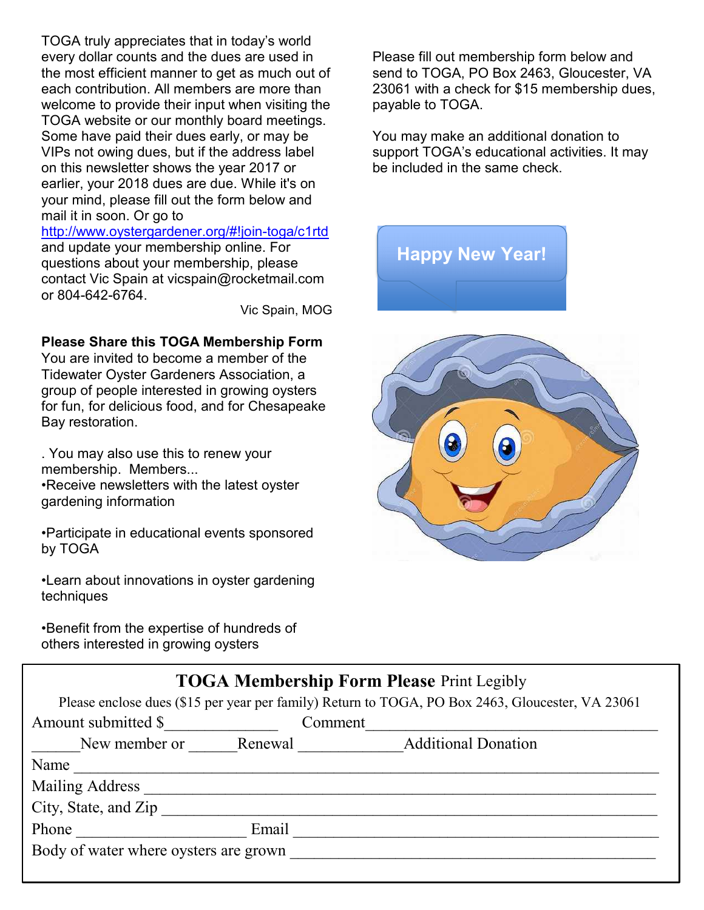TOGA truly appreciates that in today's world every dollar counts and the dues are used in the most efficient manner to get as much out of each contribution. All members are more than welcome to provide their input when visiting the TOGA website or our monthly board meetings. Some have paid their dues early, or may be VIPs not owing dues, but if the address label on this newsletter shows the year 2017 or earlier, your 2018 dues are due. While it's on your mind, please fill out the form below and mail it in soon. Or go to

http://www.oystergardener.org/#!join-toga/c1rtd and update your membership online. For questions about your membership, please contact Vic Spain at vicspain@rocketmail.com or 804-642-6764.

Vic Spain, MOG

#### **Please Share this TOGA Membership Form**

You are invited to become a member of the Tidewater Oyster Gardeners Association, a group of people interested in growing oysters for fun, for delicious food, and for Chesapeake Bay restoration.

. You may also use this to renew your membership. Members... •Receive newsletters with the latest oyster gardening information

•Participate in educational events sponsored by TOGA

•Learn about innovations in oyster gardening techniques

•Benefit from the expertise of hundreds of others interested in growing oysters

Please fill out membership form below and send to TOGA, PO Box 2463, Gloucester, VA 23061 with a check for \$15 membership dues, payable to TOGA.

You may make an additional donation to support TOGA's educational activities. It may be included in the same check.

**Happy New Year!** 



#### **TOGA Membership Form Please** Print Legibly

Please enclose dues (\$15 per year per family) Return to TOGA, PO Box 2463, Gloucester, VA 23061

| Amount submitted \$                   | Comment                               |
|---------------------------------------|---------------------------------------|
| New member or                         | <b>Additional Donation</b><br>Renewal |
| Name                                  |                                       |
| <b>Mailing Address</b>                |                                       |
| City, State, and Zip                  |                                       |
| Email<br>Phone                        |                                       |
| Body of water where oysters are grown |                                       |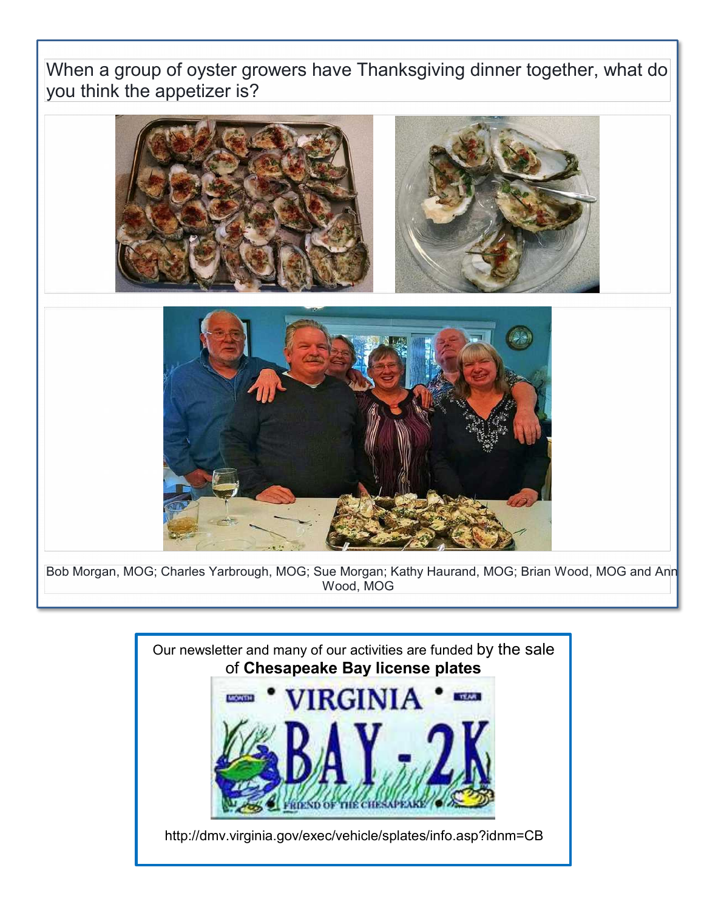When a group of oyster growers have Thanksgiving dinner together, what do you think the appetizer is?





Bob Morgan, MOG; Charles Yarbrough, MOG; Sue Morgan; Kathy Haurand, MOG; Brian Wood, MOG and Ann Wood, MOG